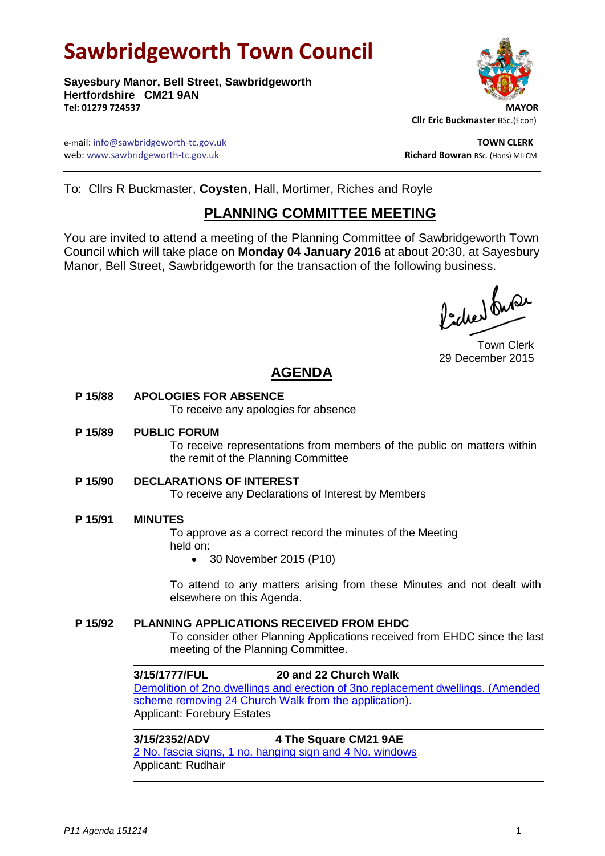# **Sawbridgeworth Town Council**

**Sayesbury Manor, Bell Street, Sawbridgeworth Hertfordshire CM21 9AN Tel: 01279 724537 MAYOR**



 **Cllr Eric Buckmaster** BSc.(Econ)

e-mail: info@sawbridgeworth-tc.gov.uk **TOWN CLERK** web: www.sawbridgeworth-tc.gov.uk and the state of the state of the state of the state of the state of the state of the state of the state of the state of the state of the state of the state of the state of the state of th

To: Cllrs R Buckmaster, **Coysten**, Hall, Mortimer, Riches and Royle

## **PLANNING COMMITTEE MEETING**

You are invited to attend a meeting of the Planning Committee of Sawbridgeworth Town Council which will take place on **Monday 04 January 2016** at about 20:30, at Sayesbury Manor, Bell Street, Sawbridgeworth for the transaction of the following business.

fideer fuse

Town Clerk 29 December 2015

# **AGENDA**

### **P 15/88 APOLOGIES FOR ABSENCE**

To receive any apologies for absence

### **P 15/89 PUBLIC FORUM**

To receive representations from members of the public on matters within the remit of the Planning Committee

### **P 15/90 DECLARATIONS OF INTEREST**

To receive any Declarations of Interest by Members

### **P 15/91 MINUTES**

To approve as a correct record the minutes of the Meeting held on:

30 November 2015 (P10)

To attend to any matters arising from these Minutes and not dealt with elsewhere on this Agenda.

### **P 15/92 PLANNING APPLICATIONS RECEIVED FROM EHDC**

To consider other Planning Applications received from EHDC since the last meeting of the Planning Committee.

### **3/15/1777/FUL 20 and 22 Church Walk**

[Demolition of 2no.dwellings and erection of 3no.replacement dwellings. \(Amended](https://publicaccess.eastherts.gov.uk/online-applications/applicationDetails.do?activeTab=summary&keyVal=NTP342GLGWY00)  [scheme removing 24 Church Walk from the application\).](https://publicaccess.eastherts.gov.uk/online-applications/applicationDetails.do?activeTab=summary&keyVal=NTP342GLGWY00) Applicant: Forebury Estates

**3/15/2352/ADV 4 The Square CM21 9AE**

[2 No. fascia signs, 1 no. hanging sign and 4 No. windows](https://publicaccess.eastherts.gov.uk/online-applications/applicationDetails.do?activeTab=summary&keyVal=NYDOJVGLHQI00) Applicant: Rudhair